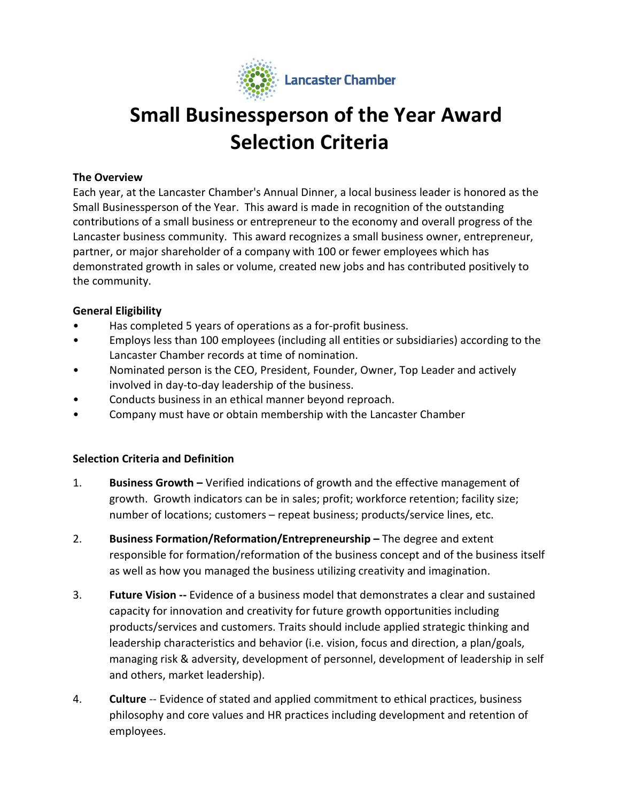

# **Small Businessperson of the Year Award Selection Criteria**

### **The Overview**

Each year, at the Lancaster Chamber's Annual Dinner, a local business leader is honored as the Small Businessperson of the Year. This award is made in recognition of the outstanding contributions of a small business or entrepreneur to the economy and overall progress of the Lancaster business community. This award recognizes a small business owner, entrepreneur, partner, or major shareholder of a company with 100 or fewer employees which has demonstrated growth in sales or volume, created new jobs and has contributed positively to the community.

### **General Eligibility**

- Has completed 5 years of operations as a for-profit business.
- Employs less than 100 employees (including all entities or subsidiaries) according to the Lancaster Chamber records at time of nomination.
- Nominated person is the CEO, President, Founder, Owner, Top Leader and actively involved in day-to-day leadership of the business.
- Conducts business in an ethical manner beyond reproach.
- Company must have or obtain membership with the Lancaster Chamber

## **Selection Criteria and Definition**

- 1. **Business Growth –** Verified indications of growth and the effective management of growth. Growth indicators can be in sales; profit; workforce retention; facility size; number of locations; customers – repeat business; products/service lines, etc.
- 2. **Business Formation/Reformation/Entrepreneurship –** The degree and extent responsible for formation/reformation of the business concept and of the business itself as well as how you managed the business utilizing creativity and imagination.
- 3. **Future Vision --** Evidence of a business model that demonstrates a clear and sustained capacity for innovation and creativity for future growth opportunities including products/services and customers. Traits should include applied strategic thinking and leadership characteristics and behavior (i.e. vision, focus and direction, a plan/goals, managing risk & adversity, development of personnel, development of leadership in self and others, market leadership).
- 4. **Culture** -- Evidence of stated and applied commitment to ethical practices, business philosophy and core values and HR practices including development and retention of employees.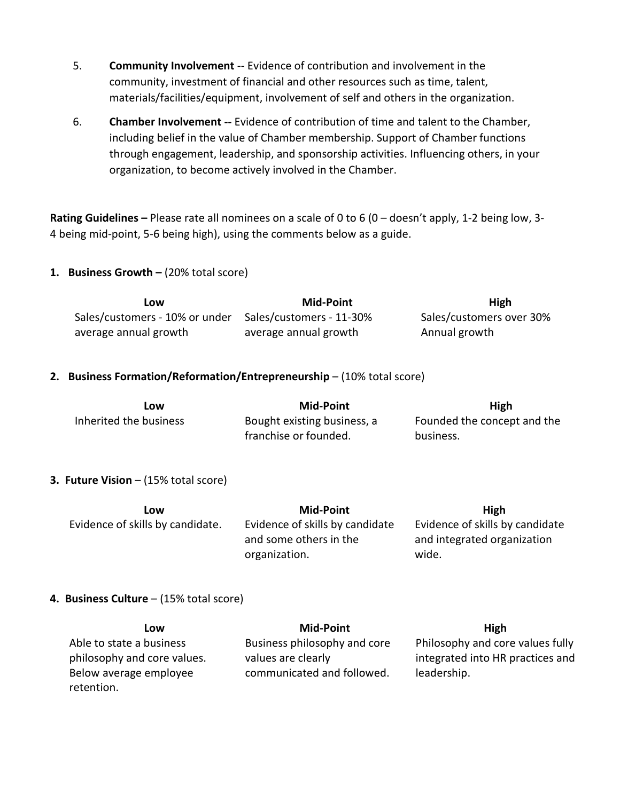- 5. **Community Involvement** -- Evidence of contribution and involvement in the community, investment of financial and other resources such as time, talent, materials/facilities/equipment, involvement of self and others in the organization.
- 6. **Chamber Involvement --** Evidence of contribution of time and talent to the Chamber, including belief in the value of Chamber membership. Support of Chamber functions through engagement, leadership, and sponsorship activities. Influencing others, in your organization, to become actively involved in the Chamber.

**Rating Guidelines –** Please rate all nominees on a scale of 0 to 6 (0 – doesn't apply, 1-2 being low, 3- 4 being mid-point, 5-6 being high), using the comments below as a guide.

### **1. Business Growth –** (20% total score)

| LOW                            | <b>Mid-Point</b>         | <b>High</b>              |
|--------------------------------|--------------------------|--------------------------|
| Sales/customers - 10% or under | Sales/customers - 11-30% | Sales/customers over 30% |
| average annual growth          | average annual growth    | Annual growth            |

### **2. Business Formation/Reformation/Entrepreneurship** – (10% total score)

| LOW                    | Mid-Point                   | High                        |
|------------------------|-----------------------------|-----------------------------|
| Inherited the business | Bought existing business, a | Founded the concept and the |
|                        | franchise or founded.       | business.                   |

#### **3. Future Vision** – (15% total score)

| LOW                              | Mid-Point                       | High                            |
|----------------------------------|---------------------------------|---------------------------------|
| Evidence of skills by candidate. | Evidence of skills by candidate | Evidence of skills by candidate |
|                                  | and some others in the          | and integrated organization     |
|                                  | organization.                   | wide.                           |

#### **4. Business Culture** – (15% total score)

| Low                         | Mid-Point                    | <b>High</b>                      |
|-----------------------------|------------------------------|----------------------------------|
| Able to state a business    | Business philosophy and core | Philosophy and core values fully |
| philosophy and core values. | values are clearly           | integrated into HR practices and |
| Below average employee      | communicated and followed.   | leadership.                      |
| retention.                  |                              |                                  |